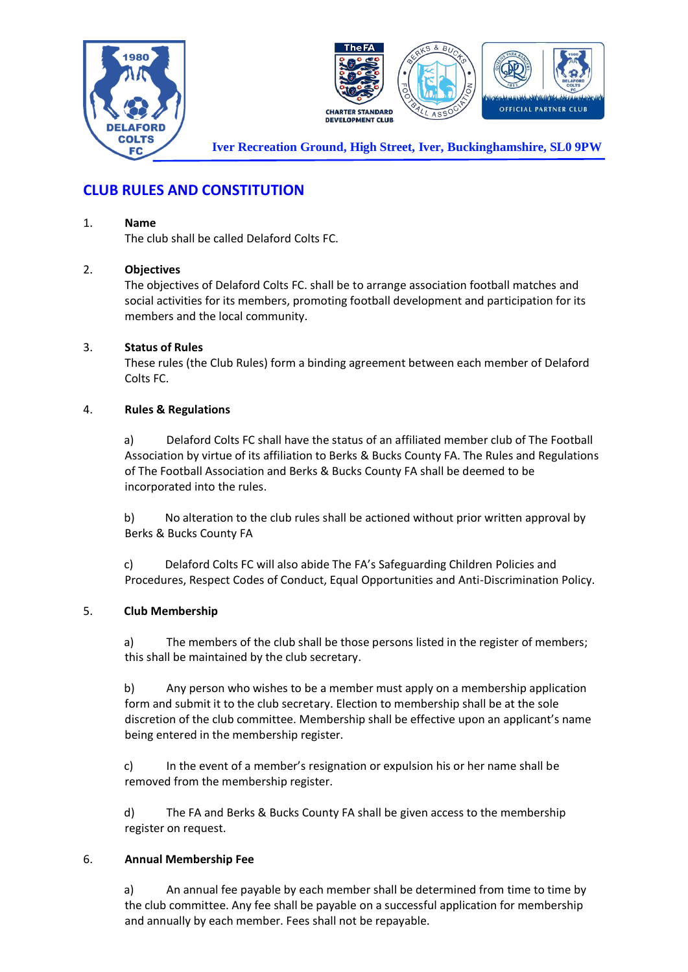



**Iver Recreation Ground, High Street, Iver, Buckinghamshire, SL0 9PW**

# **CLUB RULES AND CONSTITUTION**

#### 1. **Name**

The club shall be called Delaford Colts FC.

### 2. **Objectives**

The objectives of Delaford Colts FC. shall be to arrange association football matches and social activities for its members, promoting football development and participation for its members and the local community.

#### 3. **Status of Rules**

These rules (the Club Rules) form a binding agreement between each member of Delaford Colts FC.

#### 4. **Rules & Regulations**

a) Delaford Colts FC shall have the status of an affiliated member club of The Football Association by virtue of its affiliation to Berks & Bucks County FA. The Rules and Regulations of The Football Association and Berks & Bucks County FA shall be deemed to be incorporated into the rules.

b) No alteration to the club rules shall be actioned without prior written approval by Berks & Bucks County FA

c) Delaford Colts FC will also abide The FA's Safeguarding Children Policies and Procedures, Respect Codes of Conduct, Equal Opportunities and Anti-Discrimination Policy.

### 5. **Club Membership**

a) The members of the club shall be those persons listed in the register of members; this shall be maintained by the club secretary.

b) Any person who wishes to be a member must apply on a membership application form and submit it to the club secretary. Election to membership shall be at the sole discretion of the club committee. Membership shall be effective upon an applicant's name being entered in the membership register.

c) In the event of a member's resignation or expulsion his or her name shall be removed from the membership register.

d) The FA and Berks & Bucks County FA shall be given access to the membership register on request.

### 6. **Annual Membership Fee**

a) An annual fee payable by each member shall be determined from time to time by the club committee. Any fee shall be payable on a successful application for membership and annually by each member. Fees shall not be repayable.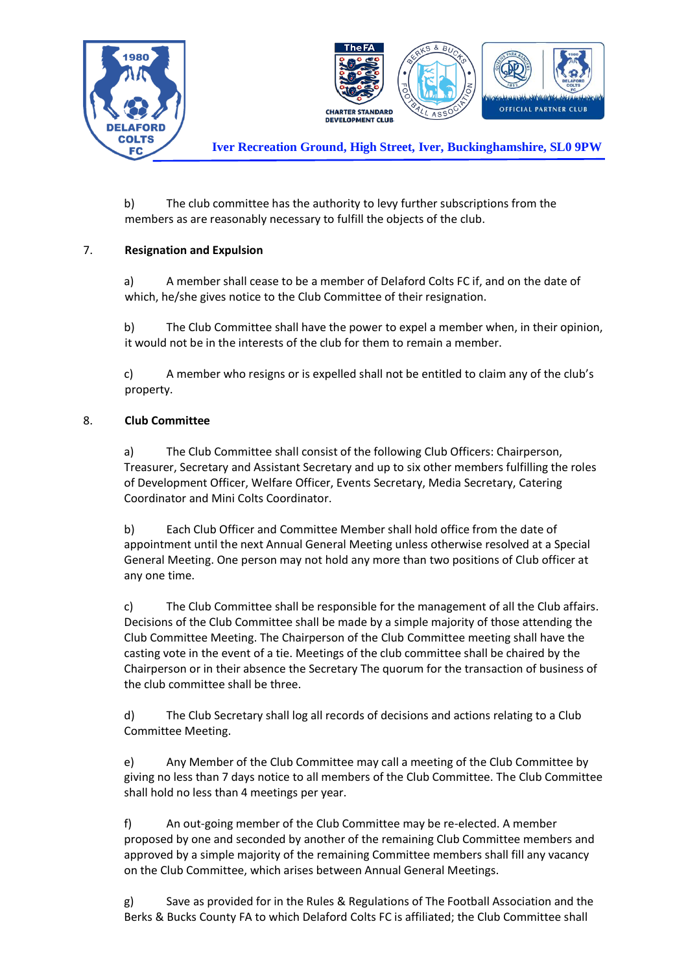



**Iver Recreation Ground, High Street, Iver, Buckinghamshire, SL0 9PW**

b) The club committee has the authority to levy further subscriptions from the members as are reasonably necessary to fulfill the objects of the club.

## 7. **Resignation and Expulsion**

a) A member shall cease to be a member of Delaford Colts FC if, and on the date of which, he/she gives notice to the Club Committee of their resignation.

b) The Club Committee shall have the power to expel a member when, in their opinion, it would not be in the interests of the club for them to remain a member.

c) A member who resigns or is expelled shall not be entitled to claim any of the club's property.

### 8. **Club Committee**

a) The Club Committee shall consist of the following Club Officers: Chairperson, Treasurer, Secretary and Assistant Secretary and up to six other members fulfilling the roles of Development Officer, Welfare Officer, Events Secretary, Media Secretary, Catering Coordinator and Mini Colts Coordinator.

b) Each Club Officer and Committee Member shall hold office from the date of appointment until the next Annual General Meeting unless otherwise resolved at a Special General Meeting. One person may not hold any more than two positions of Club officer at any one time.

c) The Club Committee shall be responsible for the management of all the Club affairs. Decisions of the Club Committee shall be made by a simple majority of those attending the Club Committee Meeting. The Chairperson of the Club Committee meeting shall have the casting vote in the event of a tie. Meetings of the club committee shall be chaired by the Chairperson or in their absence the Secretary The quorum for the transaction of business of the club committee shall be three.

d) The Club Secretary shall log all records of decisions and actions relating to a Club Committee Meeting.

e) Any Member of the Club Committee may call a meeting of the Club Committee by giving no less than 7 days notice to all members of the Club Committee. The Club Committee shall hold no less than 4 meetings per year.

f) An out-going member of the Club Committee may be re-elected. A member proposed by one and seconded by another of the remaining Club Committee members and approved by a simple majority of the remaining Committee members shall fill any vacancy on the Club Committee, which arises between Annual General Meetings.

g) Save as provided for in the Rules & Regulations of The Football Association and the Berks & Bucks County FA to which Delaford Colts FC is affiliated; the Club Committee shall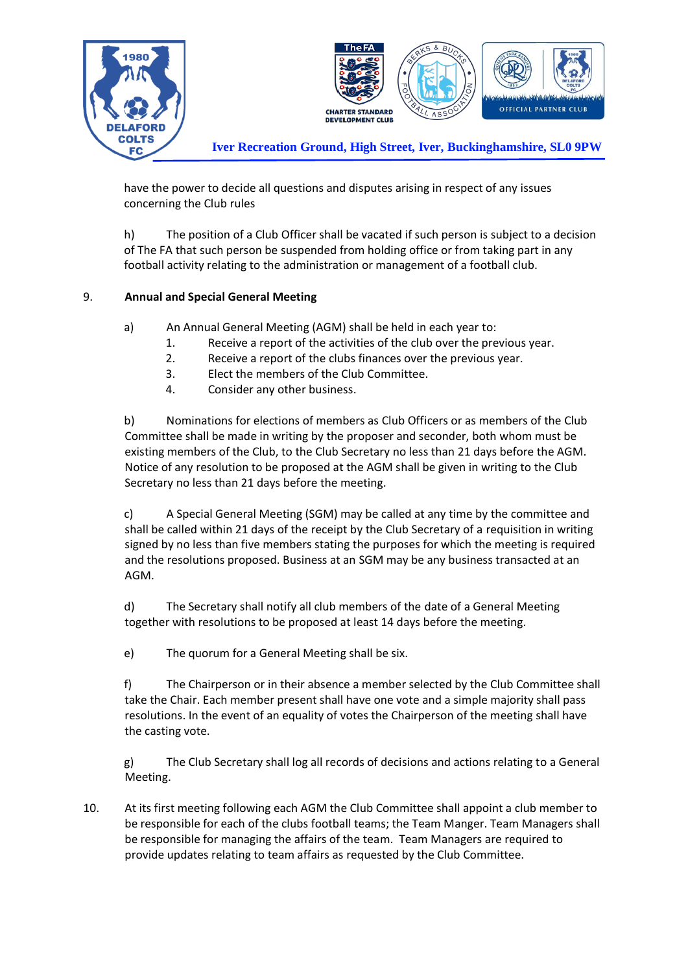

have the power to decide all questions and disputes arising in respect of any issues concerning the Club rules

h) The position of a Club Officer shall be vacated if such person is subject to a decision of The FA that such person be suspended from holding office or from taking part in any football activity relating to the administration or management of a football club.

# 9. **Annual and Special General Meeting**

- a) An Annual General Meeting (AGM) shall be held in each year to:
	- 1. Receive a report of the activities of the club over the previous year.
	- 2. Receive a report of the clubs finances over the previous year.
	- 3. Elect the members of the Club Committee.
	- 4. Consider any other business.

b) Nominations for elections of members as Club Officers or as members of the Club Committee shall be made in writing by the proposer and seconder, both whom must be existing members of the Club, to the Club Secretary no less than 21 days before the AGM. Notice of any resolution to be proposed at the AGM shall be given in writing to the Club Secretary no less than 21 days before the meeting.

c) A Special General Meeting (SGM) may be called at any time by the committee and shall be called within 21 days of the receipt by the Club Secretary of a requisition in writing signed by no less than five members stating the purposes for which the meeting is required and the resolutions proposed. Business at an SGM may be any business transacted at an AGM.

d) The Secretary shall notify all club members of the date of a General Meeting together with resolutions to be proposed at least 14 days before the meeting.

e) The quorum for a General Meeting shall be six.

f) The Chairperson or in their absence a member selected by the Club Committee shall take the Chair. Each member present shall have one vote and a simple majority shall pass resolutions. In the event of an equality of votes the Chairperson of the meeting shall have the casting vote.

g) The Club Secretary shall log all records of decisions and actions relating to a General Meeting.

10. At its first meeting following each AGM the Club Committee shall appoint a club member to be responsible for each of the clubs football teams; the Team Manger. Team Managers shall be responsible for managing the affairs of the team. Team Managers are required to provide updates relating to team affairs as requested by the Club Committee.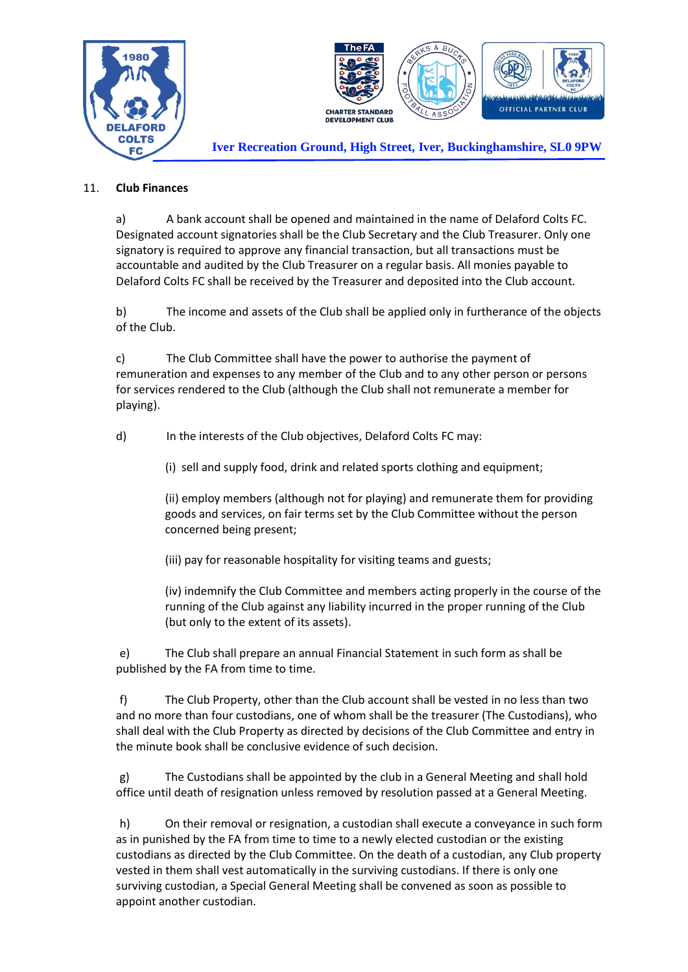



**Iver Recreation Ground, High Street, Iver, Buckinghamshire, SL0 9PW**

## 11. **Club Finances**

a) A bank account shall be opened and maintained in the name of Delaford Colts FC. Designated account signatories shall be the Club Secretary and the Club Treasurer. Only one signatory is required to approve any financial transaction, but all transactions must be accountable and audited by the Club Treasurer on a regular basis. All monies payable to Delaford Colts FC shall be received by the Treasurer and deposited into the Club account.

b) The income and assets of the Club shall be applied only in furtherance of the objects of the Club.

c) The Club Committee shall have the power to authorise the payment of remuneration and expenses to any member of the Club and to any other person or persons for services rendered to the Club (although the Club shall not remunerate a member for playing).

d) In the interests of the Club objectives, Delaford Colts FC may:

(i) sell and supply food, drink and related sports clothing and equipment;

(ii) employ members (although not for playing) and remunerate them for providing goods and services, on fair terms set by the Club Committee without the person concerned being present;

(iii) pay for reasonable hospitality for visiting teams and guests;

(iv) indemnify the Club Committee and members acting properly in the course of the running of the Club against any liability incurred in the proper running of the Club (but only to the extent of its assets).

e) The Club shall prepare an annual Financial Statement in such form as shall be published by the FA from time to time.

f) The Club Property, other than the Club account shall be vested in no less than two and no more than four custodians, one of whom shall be the treasurer (The Custodians), who shall deal with the Club Property as directed by decisions of the Club Committee and entry in the minute book shall be conclusive evidence of such decision.

g) The Custodians shall be appointed by the club in a General Meeting and shall hold office until death of resignation unless removed by resolution passed at a General Meeting.

h) On their removal or resignation, a custodian shall execute a conveyance in such form as in punished by the FA from time to time to a newly elected custodian or the existing custodians as directed by the Club Committee. On the death of a custodian, any Club property vested in them shall vest automatically in the surviving custodians. If there is only one surviving custodian, a Special General Meeting shall be convened as soon as possible to appoint another custodian.